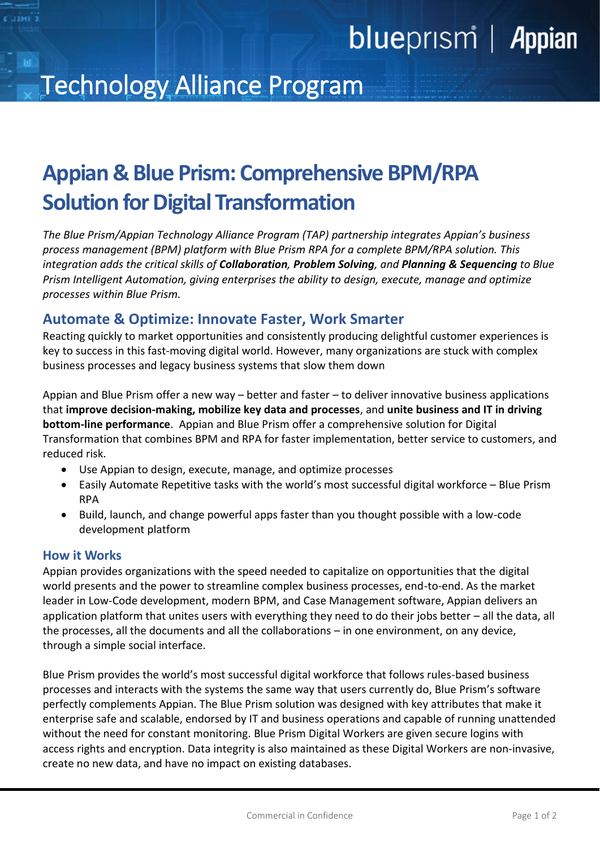# blueprism | Appian

## Technology Alliance Program

## **Appian & Blue Prism: Comprehensive BPM/RPA Solution for Digital Transformation**

*The Blue Prism/Appian Technology Alliance Program (TAP) partnership integrates Appian's business process management (BPM) platform with Blue Prism RPA for a complete BPM/RPA solution. This integration adds the critical skills of Collaboration, Problem Solving, and Planning & Sequencing to Blue Prism Intelligent Automation, giving enterprises the ability to design, execute, manage and optimize processes within Blue Prism.* 

### **Automate & Optimize: Innovate Faster, Work Smarter**

Reacting quickly to market opportunities and consistently producing delightful customer experiences is key to success in this fast-moving digital world. However, many organizations are stuck with complex business processes and legacy business systems that slow them down

Appian and Blue Prism offer a new way – better and faster – to deliver innovative business applications that **improve decision-making, mobilize key data and processes**, and **unite business and IT in driving bottom-line performance**. Appian and Blue Prism offer a comprehensive solution for Digital Transformation that combines BPM and RPA for faster implementation, better service to customers, and reduced risk.

- Use Appian to design, execute, manage, and optimize processes
- Easily Automate Repetitive tasks with the world's most successful digital workforce Blue Prism RPA
- Build, launch, and change powerful apps faster than you thought possible with a low-code development platform

#### **How it Works**

Appian provides organizations with the speed needed to capitalize on opportunities that the digital world presents and the power to streamline complex business processes, end-to-end. As the market leader in Low-Code development, modern BPM, and Case Management software, Appian delivers an application platform that unites users with everything they need to do their jobs better – all the data, all the processes, all the documents and all the collaborations – in one environment, on any device, through a simple social interface.

Blue Prism provides the world's most successful digital workforce that follows rules-based business processes and interacts with the systems the same way that users currently do, Blue Prism's software perfectly complements Appian. The Blue Prism solution was designed with key attributes that make it enterprise safe and scalable, endorsed by IT and business operations and capable of running unattended without the need for constant monitoring. Blue Prism Digital Workers are given secure logins with access rights and encryption. Data integrity is also maintained as these Digital Workers are non-invasive, create no new data, and have no impact on existing databases.